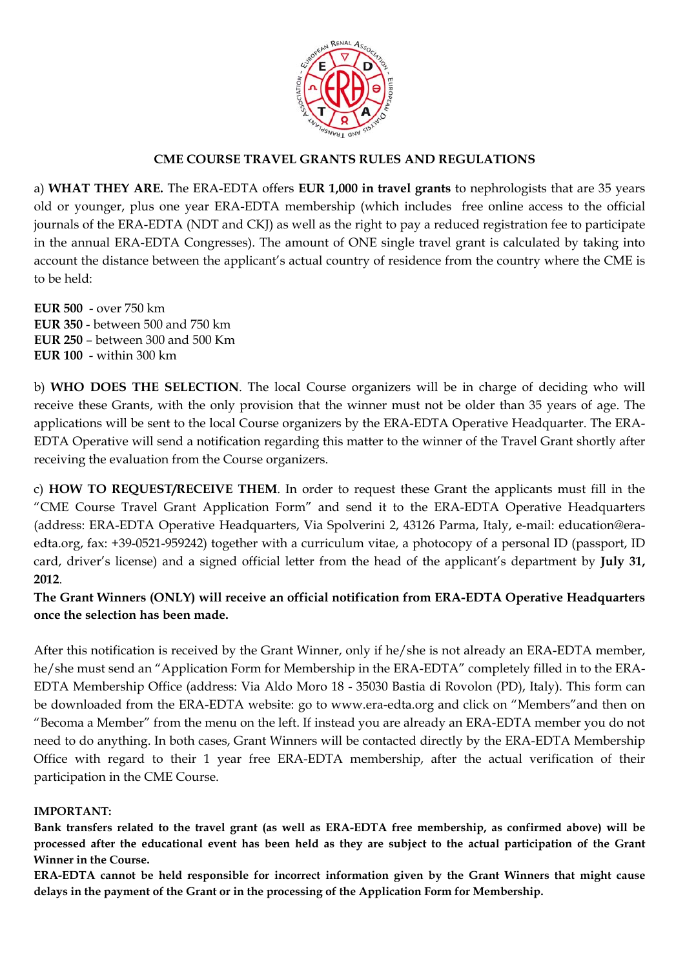

## **CME COURSE TRAVEL GRANTS RULES AND REGULATIONS**

a) **WHAT THEY ARE.** The ERA-EDTA offers **EUR 1,000 in travel grants** to nephrologists that are 35 years old or younger, plus one year ERA-EDTA membership (which includes free online access to the official journals of the ERA-EDTA (NDT and CKJ) as well as the right to pay a reduced registration fee to participate in the annual ERA-EDTA Congresses). The amount of ONE single travel grant is calculated by taking into account the distance between the applicant's actual country of residence from the country where the CME is to be held:

**EUR 500** - over 750 km **EUR 350** - between 500 and 750 km **EUR 250** – between 300 and 500 Km **EUR 100** - within 300 km

b) **WHO DOES THE SELECTION**. The local Course organizers will be in charge of deciding who will receive these Grants, with the only provision that the winner must not be older than 35 years of age. The applications will be sent to the local Course organizers by the ERA-EDTA Operative Headquarter. The ERA-EDTA Operative will send a notification regarding this matter to the winner of the Travel Grant shortly after receiving the evaluation from the Course organizers.

c) **HOW TO REQUEST/RECEIVE THEM**. In order to request these Grant the applicants must fill in the "CME Course Travel Grant Application Form" and send it to the ERA-EDTA Operative Headquarters (address: ERA-EDTA Operative Headquarters, Via Spolverini 2, 43126 Parma, Italy, e-mail: education@eraedta.org, fax: +39-0521-959242) together with a curriculum vitae, a photocopy of a personal ID (passport, ID card, driver's license) and a signed official letter from the head of the applicant's department by **July 31, 2012**.

**The Grant Winners (ONLY) will receive an official notification from ERA-EDTA Operative Headquarters once the selection has been made.** 

After this notification is received by the Grant Winner, only if he/she is not already an ERA-EDTA member, he/she must send an "Application Form for Membership in the ERA-EDTA" completely filled in to the ERA-EDTA Membership Office (address: Via Aldo Moro 18 - 35030 Bastia di Rovolon (PD), Italy). This form can be downloaded from the ERA-EDTA website: go to www.era-edta.org and click on "Members"and then on "Becoma a Member" from the menu on the left. If instead you are already an ERA-EDTA member you do not need to do anything. In both cases, Grant Winners will be contacted directly by the ERA-EDTA Membership Office with regard to their 1 year free ERA-EDTA membership, after the actual verification of their participation in the CME Course.

#### **IMPORTANT:**

**Bank transfers related to the travel grant (as well as ERA-EDTA free membership, as confirmed above) will be processed after the educational event has been held as they are subject to the actual participation of the Grant Winner in the Course.** 

**ERA-EDTA cannot be held responsible for incorrect information given by the Grant Winners that might cause delays in the payment of the Grant or in the processing of the Application Form for Membership.**